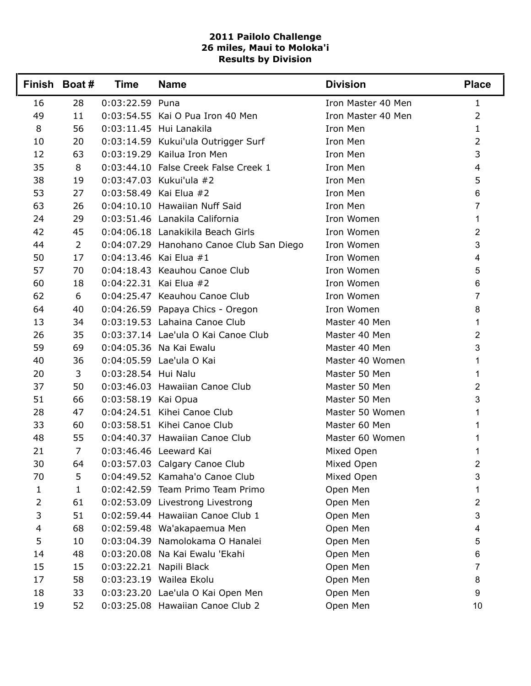## **2011 Pailolo Challenge 26 miles, Maui to Moloka'i Results by Division**

|                          | Finish Boat#   | <b>Time</b>         | <b>Name</b>                              | <b>Division</b>    | <b>Place</b>   |
|--------------------------|----------------|---------------------|------------------------------------------|--------------------|----------------|
| 16                       | 28             | 0:03:22.59 Puna     |                                          | Iron Master 40 Men | $\mathbf{1}$   |
| 49                       | 11             |                     | 0:03:54.55 Kai O Pua Iron 40 Men         | Iron Master 40 Men | $\overline{2}$ |
| 8                        | 56             |                     | 0:03:11.45 Hui Lanakila                  | Iron Men           | 1              |
| 10                       | 20             |                     | 0:03:14.59 Kukui'ula Outrigger Surf      | Iron Men           | $\overline{2}$ |
| 12                       | 63             |                     | 0:03:19.29 Kailua Iron Men               | Iron Men           | 3              |
| 35                       | 8              |                     | 0:03:44.10 False Creek False Creek 1     | Iron Men           | 4              |
| 38                       | 19             |                     | 0:03:47.03 Kukui'ula #2                  | Iron Men           | 5              |
| 53                       | 27             |                     | 0:03:58.49 Kai Elua #2                   | Iron Men           | 6              |
| 63                       | 26             |                     | 0:04:10.10 Hawaiian Nuff Said            | Iron Men           | 7              |
| 24                       | 29             |                     | 0:03:51.46 Lanakila California           | Iron Women         | 1              |
| 42                       | 45             |                     | 0:04:06.18 Lanakikila Beach Girls        | Iron Women         | 2              |
| 44                       | $\overline{2}$ |                     | 0:04:07.29 Hanohano Canoe Club San Diego | Iron Women         | $\mathfrak{S}$ |
| 50                       | 17             |                     | $0:04:13.46$ Kai Elua #1                 | Iron Women         | 4              |
| 57                       | 70             |                     | 0:04:18.43 Keauhou Canoe Club            | Iron Women         | 5              |
| 60                       | 18             |                     | $0:04:22.31$ Kai Elua #2                 | Iron Women         | 6              |
| 62                       | 6              |                     | 0:04:25.47 Keauhou Canoe Club            | Iron Women         | 7              |
| 64                       | 40             |                     | 0:04:26.59 Papaya Chics - Oregon         | Iron Women         | 8              |
| 13                       | 34             |                     | 0:03:19.53 Lahaina Canoe Club            | Master 40 Men      | 1              |
| 26                       | 35             |                     | 0:03:37.14 Lae'ula O Kai Canoe Club      | Master 40 Men      | 2              |
| 59                       | 69             |                     | 0:04:05.36 Na Kai Ewalu                  | Master 40 Men      | 3              |
| 40                       | 36             |                     | 0:04:05.59 Lae'ula O Kai                 | Master 40 Women    | 1.             |
| 20                       | 3              | 0:03:28.54 Hui Nalu |                                          | Master 50 Men      | 1              |
| 37                       | 50             |                     | 0:03:46.03 Hawaiian Canoe Club           | Master 50 Men      | 2              |
| 51                       | 66             | 0:03:58.19 Kai Opua |                                          | Master 50 Men      | 3              |
| 28                       | 47             |                     | 0:04:24.51 Kihei Canoe Club              | Master 50 Women    | 1              |
| 33                       | 60             |                     | 0:03:58.51 Kihei Canoe Club              | Master 60 Men      | 1              |
| 48                       | 55             |                     | 0:04:40.37 Hawaiian Canoe Club           | Master 60 Women    | 1              |
| 21                       | $\overline{7}$ |                     | 0:03:46.46 Leeward Kai                   | Mixed Open         | 1              |
| 30                       | 64             |                     | 0:03:57.03 Calgary Canoe Club            | Mixed Open         | 2              |
| 70                       | 5              |                     | 0:04:49.52 Kamaha'o Canoe Club           | Mixed Open         | 3              |
| 1                        | $\mathbf{1}$   |                     | 0:02:42.59 Team Primo Team Primo         | Open Men           | 1              |
| $\overline{2}$           | 61             |                     | 0:02:53.09 Livestrong Livestrong         | Open Men           | 2              |
| 3                        | 51             |                     | 0:02:59.44 Hawaiian Canoe Club 1         | Open Men           | 3              |
| $\overline{\mathcal{A}}$ | 68             |                     | 0:02:59.48 Wa'akapaemua Men              | Open Men           | 4              |
| 5                        | 10             |                     | 0:03:04.39 Namolokama O Hanalei          | Open Men           | 5              |
| 14                       | 48             |                     | 0:03:20.08 Na Kai Ewalu 'Ekahi           | Open Men           | 6              |
| 15                       | 15             |                     | 0:03:22.21 Napili Black                  | Open Men           | $\overline{7}$ |
| 17                       | 58             |                     | 0:03:23.19 Wailea Ekolu                  | Open Men           | 8              |
| 18                       | 33             |                     | 0:03:23.20 Lae'ula O Kai Open Men        | Open Men           | 9              |
| 19                       | 52             |                     | 0:03:25.08 Hawaiian Canoe Club 2         | Open Men           | 10             |